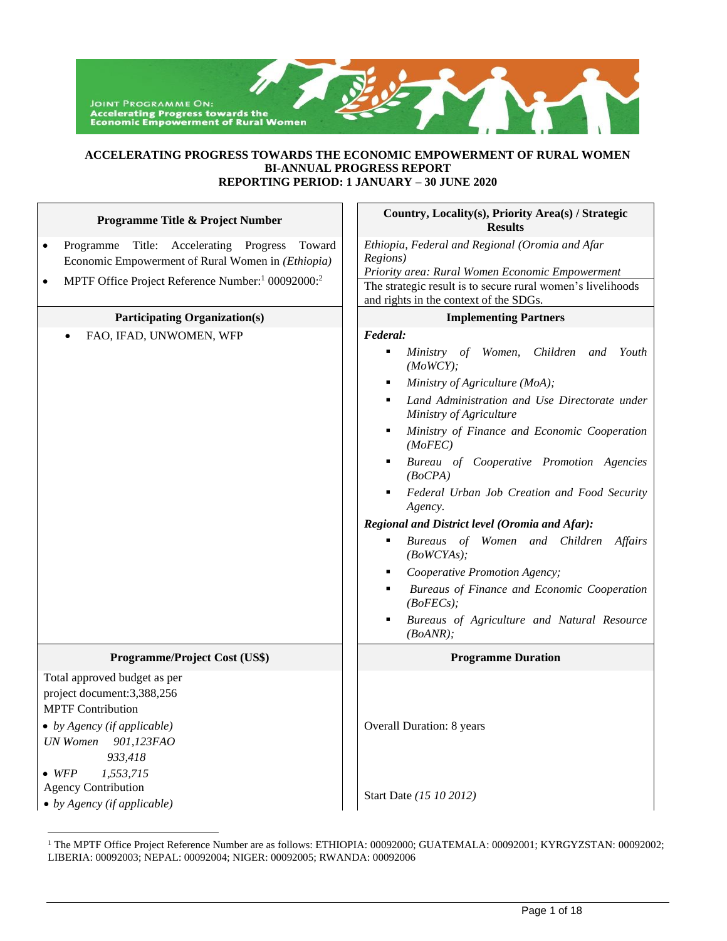# **ACCELERATING PROGRESS TOWARDS THE ECONOMIC EMPOWERMENT OF RURAL WOMEN BI-ANNUAL PROGRESS REPORT REPORTING PERIOD: 1 JANUARY – 30 JUNE 2020**

| Programme Title & Project Number                                                                                                                                                                                                                                   | Country, Locality(s), Priority Area(s) / Strategic<br><b>Results</b>                                                                                                                                                                                                                                                                                                                                                                                                                                                                                                                                                                                   |
|--------------------------------------------------------------------------------------------------------------------------------------------------------------------------------------------------------------------------------------------------------------------|--------------------------------------------------------------------------------------------------------------------------------------------------------------------------------------------------------------------------------------------------------------------------------------------------------------------------------------------------------------------------------------------------------------------------------------------------------------------------------------------------------------------------------------------------------------------------------------------------------------------------------------------------------|
| Accelerating Progress<br>Programme Title:<br>Toward<br>$\bullet$<br>Economic Empowerment of Rural Women in (Ethiopia)<br>MPTF Office Project Reference Number: <sup>1</sup> 00092000: <sup>2</sup><br>$\bullet$                                                    | Ethiopia, Federal and Regional (Oromia and Afar<br>Regions)<br>Priority area: Rural Women Economic Empowerment<br>The strategic result is to secure rural women's livelihoods<br>and rights in the context of the SDGs.                                                                                                                                                                                                                                                                                                                                                                                                                                |
| <b>Participating Organization(s)</b>                                                                                                                                                                                                                               | <b>Implementing Partners</b>                                                                                                                                                                                                                                                                                                                                                                                                                                                                                                                                                                                                                           |
| FAO, IFAD, UNWOMEN, WFP                                                                                                                                                                                                                                            | Federal:<br>Ministry of Women,<br>Children<br>and<br>Youth<br>٠<br>(MoWCY);<br>Ministry of Agriculture (MoA);<br>Land Administration and Use Directorate under<br>Ministry of Agriculture<br>Ministry of Finance and Economic Cooperation<br>(MoFEC)<br>Bureau of Cooperative Promotion Agencies<br>٠<br>(BoCPA)<br>Federal Urban Job Creation and Food Security<br>Agency.<br>Regional and District level (Oromia and Afar):<br>Bureaus of Women and Children<br><b>Affairs</b><br>(BoWCYAs);<br>Cooperative Promotion Agency;<br>Bureaus of Finance and Economic Cooperation<br>(BoFECs);<br>Bureaus of Agriculture and Natural Resource<br>(BoANR); |
| Programme/Project Cost (US\$)                                                                                                                                                                                                                                      | <b>Programme Duration</b>                                                                                                                                                                                                                                                                                                                                                                                                                                                                                                                                                                                                                              |
| Total approved budget as per<br>project document:3,388,256<br><b>MPTF</b> Contribution<br>$\bullet$ by Agency (if applicable)<br>UN Women 901,123FAO<br>933,418<br>1,553,715<br>$\bullet$ WFP<br><b>Agency Contribution</b><br>$\bullet$ by Agency (if applicable) | Overall Duration: 8 years<br>Start Date (15 10 2012)                                                                                                                                                                                                                                                                                                                                                                                                                                                                                                                                                                                                   |

<sup>&</sup>lt;sup>1</sup> The MPTF Office Project Reference Number are as follows: ETHIOPIA: 00092000; GUATEMALA: 00092001; KYRGYZSTAN: 00092002; LIBERIA: 00092003; NEPAL: 00092004; NIGER: 00092005; RWANDA: 00092006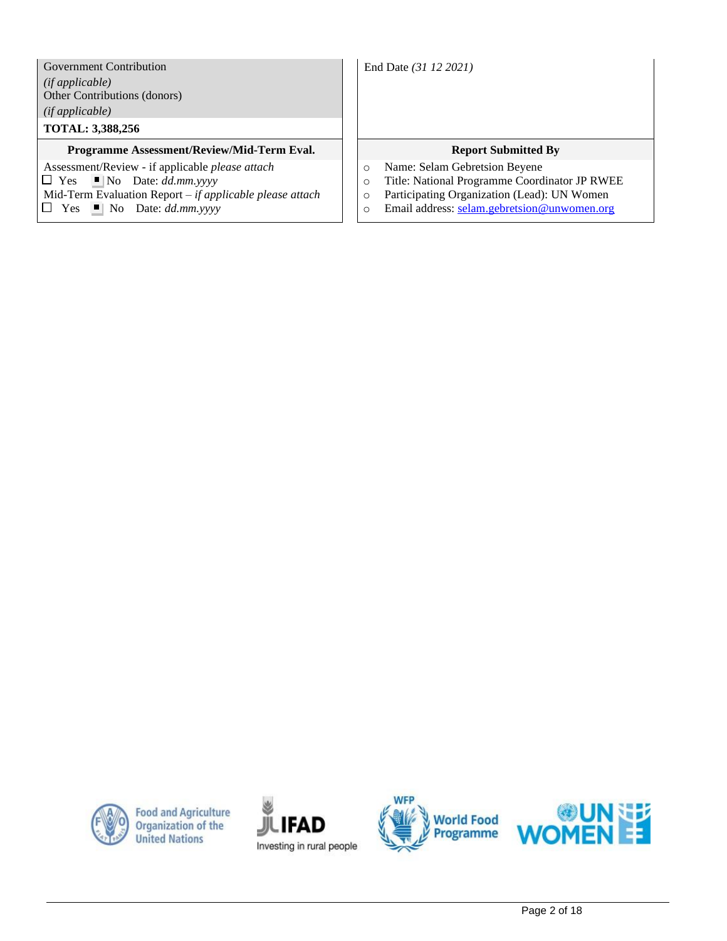Government Contribution *(if applicable)* Other Contributions (donors) *(if applicable)*

# **TOTAL: 3,388,256**

## **Programme Assessment/Review/Mid-Term Eval.** | | Report Submitted By

Assessment/Review - if applicable *please attach*  $\Box$  Yes  $\Box$  No Date: *dd.mm.yyyy* Mid-Term Evaluation Report *– if applicable please attach*  $\Box$  Yes  $\Box$  No Date: *dd.mm.yyyy* 

End Date *(31 12 2021)*

- o Name: Selam Gebretsion Beyene
- o Title: National Programme Coordinator JP RWEE
- o Participating Organization (Lead): UN Women
- o Email address: [selam.gebretsion@unwomen.org](mailto:selam.gebretsion@unwomen.org)



**Food and Agriculture Organization of the United Nations** 





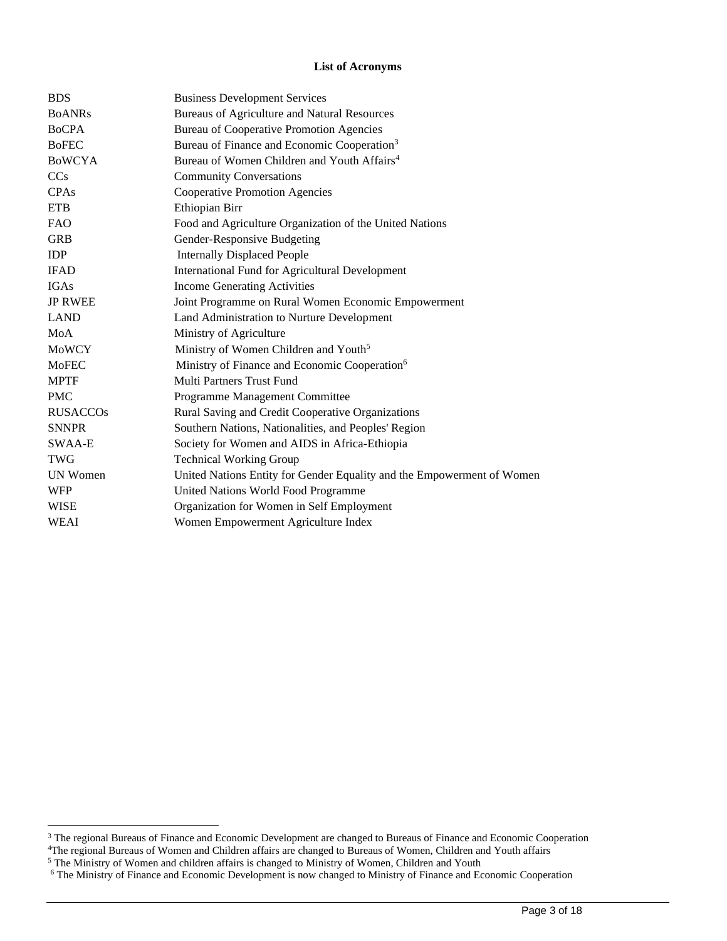## **List of Acronyms**

| <b>BDS</b>            | <b>Business Development Services</b>                                   |
|-----------------------|------------------------------------------------------------------------|
| <b>BoANRs</b>         | Bureaus of Agriculture and Natural Resources                           |
| <b>BoCPA</b>          | Bureau of Cooperative Promotion Agencies                               |
| <b>BoFEC</b>          | Bureau of Finance and Economic Cooperation <sup>3</sup>                |
| <b>BOWCYA</b>         | Bureau of Women Children and Youth Affairs <sup>4</sup>                |
| <b>CC<sub>s</sub></b> | <b>Community Conversations</b>                                         |
| CPAs                  | <b>Cooperative Promotion Agencies</b>                                  |
| <b>ETB</b>            | Ethiopian Birr                                                         |
| <b>FAO</b>            | Food and Agriculture Organization of the United Nations                |
| <b>GRB</b>            | Gender-Responsive Budgeting                                            |
| <b>IDP</b>            | <b>Internally Displaced People</b>                                     |
| <b>IFAD</b>           | <b>International Fund for Agricultural Development</b>                 |
| <b>IGAs</b>           | <b>Income Generating Activities</b>                                    |
| <b>JP RWEE</b>        | Joint Programme on Rural Women Economic Empowerment                    |
| <b>LAND</b>           | Land Administration to Nurture Development                             |
| MoA                   | Ministry of Agriculture                                                |
| <b>MoWCY</b>          | Ministry of Women Children and Youth <sup>5</sup>                      |
| <b>MoFEC</b>          | Ministry of Finance and Economic Cooperation <sup>6</sup>              |
| <b>MPTF</b>           | Multi Partners Trust Fund                                              |
| <b>PMC</b>            | Programme Management Committee                                         |
| <b>RUSACCOS</b>       | Rural Saving and Credit Cooperative Organizations                      |
| <b>SNNPR</b>          | Southern Nations, Nationalities, and Peoples' Region                   |
| SWAA-E                | Society for Women and AIDS in Africa-Ethiopia                          |
| <b>TWG</b>            | <b>Technical Working Group</b>                                         |
| <b>UN Women</b>       | United Nations Entity for Gender Equality and the Empowerment of Women |
| <b>WFP</b>            | United Nations World Food Programme                                    |
| <b>WISE</b>           | Organization for Women in Self Employment                              |
| <b>WEAI</b>           | Women Empowerment Agriculture Index                                    |

<sup>&</sup>lt;sup>3</sup> The regional Bureaus of Finance and Economic Development are changed to Bureaus of Finance and Economic Cooperation

<sup>4</sup>The regional Bureaus of Women and Children affairs are changed to Bureaus of Women, Children and Youth affairs

 $5$  The Ministry of Women and children affairs is changed to Ministry of Women, Children and Youth

<sup>6</sup> The Ministry of Finance and Economic Development is now changed to Ministry of Finance and Economic Cooperation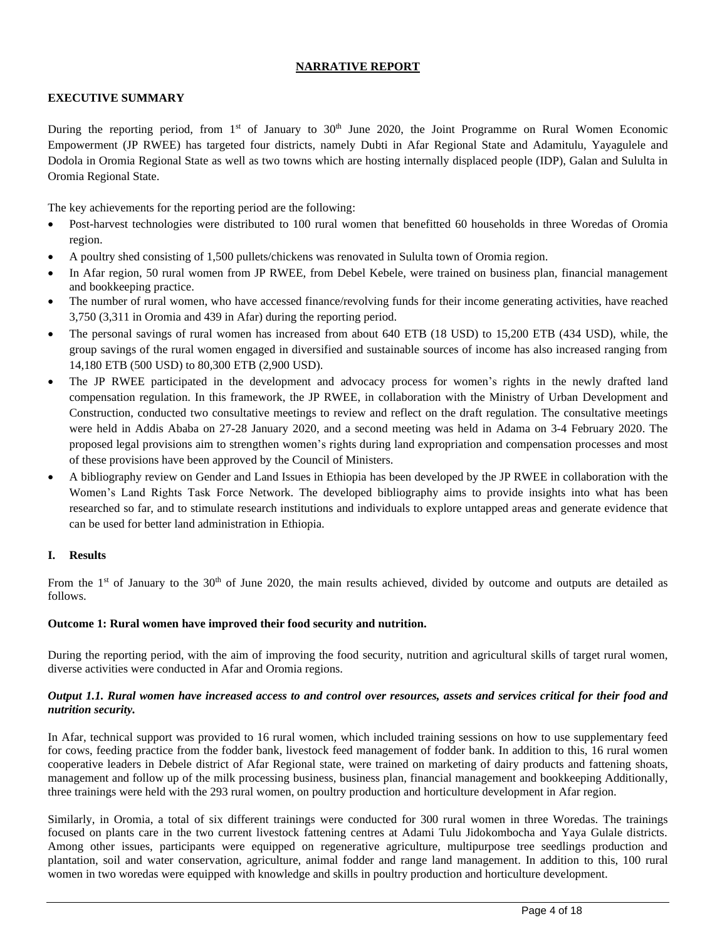# **NARRATIVE REPORT**

# **EXECUTIVE SUMMARY**

During the reporting period, from 1<sup>st</sup> of January to 30<sup>th</sup> June 2020, the Joint Programme on Rural Women Economic Empowerment (JP RWEE) has targeted four districts, namely Dubti in Afar Regional State and Adamitulu, Yayagulele and Dodola in Oromia Regional State as well as two towns which are hosting internally displaced people (IDP), Galan and Sululta in Oromia Regional State.

The key achievements for the reporting period are the following:

- Post-harvest technologies were distributed to 100 rural women that benefitted 60 households in three Woredas of Oromia region.
- A poultry shed consisting of 1,500 pullets/chickens was renovated in Sululta town of Oromia region.
- In Afar region, 50 rural women from JP RWEE, from Debel Kebele, were trained on business plan, financial management and bookkeeping practice.
- The number of rural women, who have accessed finance/revolving funds for their income generating activities, have reached 3,750 (3,311 in Oromia and 439 in Afar) during the reporting period.
- The personal savings of rural women has increased from about 640 ETB (18 USD) to 15,200 ETB (434 USD), while, the group savings of the rural women engaged in diversified and sustainable sources of income has also increased ranging from 14,180 ETB (500 USD) to 80,300 ETB (2,900 USD).
- The JP RWEE participated in the development and advocacy process for women's rights in the newly drafted land compensation regulation. In this framework, the JP RWEE, in collaboration with the Ministry of Urban Development and Construction, conducted two consultative meetings to review and reflect on the draft regulation. The consultative meetings were held in Addis Ababa on 27-28 January 2020, and a second meeting was held in Adama on 3-4 February 2020. The proposed legal provisions aim to strengthen women's rights during land expropriation and compensation processes and most of these provisions have been approved by the Council of Ministers.
- A bibliography review on Gender and Land Issues in Ethiopia has been developed by the JP RWEE in collaboration with the Women's Land Rights Task Force Network. The developed bibliography aims to provide insights into what has been researched so far, and to stimulate research institutions and individuals to explore untapped areas and generate evidence that can be used for better land administration in Ethiopia.

# **I. Results**

From the  $1<sup>st</sup>$  of January to the  $30<sup>th</sup>$  of June 2020, the main results achieved, divided by outcome and outputs are detailed as follows.

## **Outcome 1: Rural women have improved their food security and nutrition.**

During the reporting period, with the aim of improving the food security, nutrition and agricultural skills of target rural women, diverse activities were conducted in Afar and Oromia regions.

## *Output 1.1. Rural women have increased access to and control over resources, assets and services critical for their food and nutrition security.*

In Afar, technical support was provided to 16 rural women, which included training sessions on how to use supplementary feed for cows, feeding practice from the fodder bank, livestock feed management of fodder bank. In addition to this, 16 rural women cooperative leaders in Debele district of Afar Regional state, were trained on marketing of dairy products and fattening shoats, management and follow up of the milk processing business, business plan, financial management and bookkeeping Additionally, three trainings were held with the 293 rural women, on poultry production and horticulture development in Afar region.

Similarly, in Oromia, a total of six different trainings were conducted for 300 rural women in three Woredas. The trainings focused on plants care in the two current livestock fattening centres at Adami Tulu Jidokombocha and Yaya Gulale districts. Among other issues, participants were equipped on regenerative agriculture, multipurpose tree seedlings production and plantation, soil and water conservation, agriculture, animal fodder and range land management. In addition to this, 100 rural women in two woredas were equipped with knowledge and skills in poultry production and horticulture development.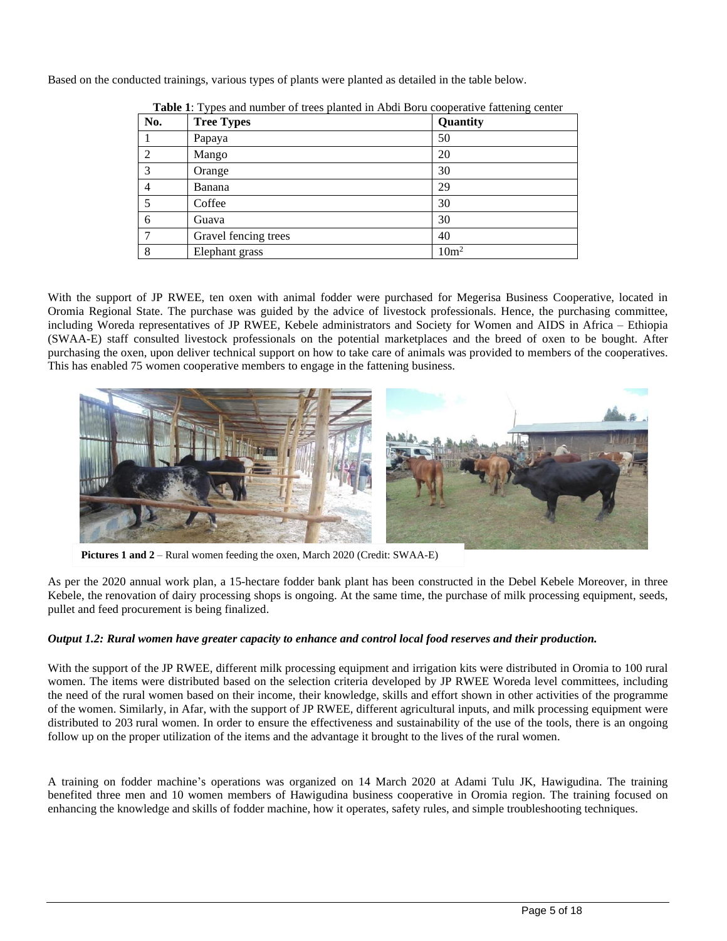Based on the conducted trainings, various types of plants were planted as detailed in the table below.

| No. | <b>Tree Types</b>    | Quantity         |
|-----|----------------------|------------------|
|     | Papaya               | 50               |
|     | Mango                | 20               |
|     | Orange               | 30               |
| 4   | Banana               | 29               |
|     | Coffee               | 30               |
| 6   | Guava                | 30               |
|     | Gravel fencing trees | 40               |
| 8   | Elephant grass       | 10m <sup>2</sup> |

**Table 1**: Types and number of trees planted in Abdi Boru cooperative fattening center

With the support of JP RWEE, ten oxen with animal fodder were purchased for Megerisa Business Cooperative, located in Oromia Regional State. The purchase was guided by the advice of livestock professionals. Hence, the purchasing committee, including Woreda representatives of JP RWEE, Kebele administrators and Society for Women and AIDS in Africa – Ethiopia (SWAA-E) staff consulted livestock professionals on the potential marketplaces and the breed of oxen to be bought. After purchasing the oxen, upon deliver technical support on how to take care of animals was provided to members of the cooperatives. This has enabled 75 women cooperative members to engage in the fattening business.



**Pictures 1 and 2** – Rural women feeding the oxen, March 2020 (Credit: SWAA-E)

As per the 2020 annual work plan, a 15-hectare fodder bank plant has been constructed in the Debel Kebele Moreover, in three Kebele, the renovation of dairy processing shops is ongoing. At the same time, the purchase of milk processing equipment, seeds, pullet and feed procurement is being finalized.

## *Output 1.2: Rural women have greater capacity to enhance and control local food reserves and their production.*

With the support of the JP RWEE, different milk processing equipment and irrigation kits were distributed in Oromia to 100 rural women. The items were distributed based on the selection criteria developed by JP RWEE Woreda level committees, including the need of the rural women based on their income, their knowledge, skills and effort shown in other activities of the programme of the women. Similarly, in Afar, with the support of JP RWEE, different agricultural inputs, and milk processing equipment were distributed to 203 rural women. In order to ensure the effectiveness and sustainability of the use of the tools, there is an ongoing follow up on the proper utilization of the items and the advantage it brought to the lives of the rural women.

A training on fodder machine's operations was organized on 14 March 2020 at Adami Tulu JK, Hawigudina. The training benefited three men and 10 women members of Hawigudina business cooperative in Oromia region. The training focused on enhancing the knowledge and skills of fodder machine, how it operates, safety rules, and simple troubleshooting techniques.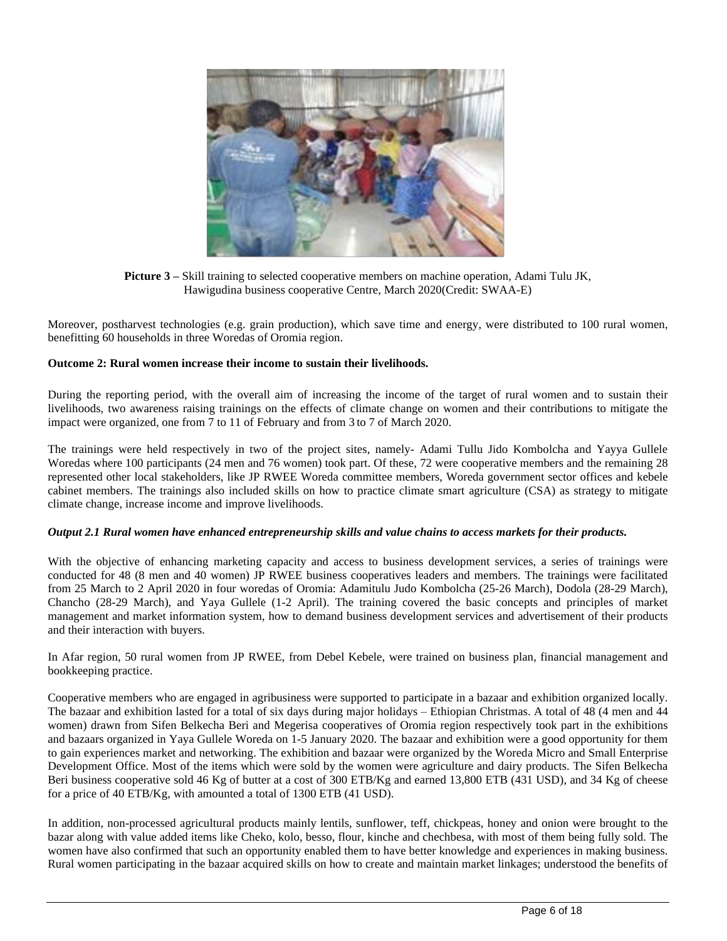

**Picture 3 –** Skill training to selected cooperative members on machine operation, Adami Tulu JK, Hawigudina business cooperative Centre, March 2020(Credit: SWAA-E)

Moreover, postharvest technologies (e.g. grain production), which save time and energy, were distributed to 100 rural women, benefitting 60 households in three Woredas of Oromia region.

## **Outcome 2: Rural women increase their income to sustain their livelihoods.**

During the reporting period, with the overall aim of increasing the income of the target of rural women and to sustain their livelihoods, two awareness raising trainings on the effects of climate change on women and their contributions to mitigate the impact were organized, one from 7 to 11 of February and from 3 to 7 of March 2020.

The trainings were held respectively in two of the project sites, namely- Adami Tullu Jido Kombolcha and Yayya Gullele Woredas where 100 participants (24 men and 76 women) took part. Of these, 72 were cooperative members and the remaining 28 represented other local stakeholders, like JP RWEE Woreda committee members, Woreda government sector offices and kebele cabinet members. The trainings also included skills on how to practice climate smart agriculture (CSA) as strategy to mitigate climate change, increase income and improve livelihoods.

### *Output 2.1 Rural women have enhanced entrepreneurship skills and value chains to access markets for their products.*

With the objective of enhancing marketing capacity and access to business development services, a series of trainings were conducted for 48 (8 men and 40 women) JP RWEE business cooperatives leaders and members. The trainings were facilitated from 25 March to 2 April 2020 in four woredas of Oromia: Adamitulu Judo Kombolcha (25-26 March), Dodola (28-29 March), Chancho (28-29 March), and Yaya Gullele (1-2 April). The training covered the basic concepts and principles of market management and market information system, how to demand business development services and advertisement of their products and their interaction with buyers.

In Afar region, 50 rural women from JP RWEE, from Debel Kebele, were trained on business plan, financial management and bookkeeping practice.

Cooperative members who are engaged in agribusiness were supported to participate in a bazaar and exhibition organized locally. The bazaar and exhibition lasted for a total of six days during major holidays – Ethiopian Christmas. A total of 48 (4 men and 44 women) drawn from Sifen Belkecha Beri and Megerisa cooperatives of Oromia region respectively took part in the exhibitions and bazaars organized in Yaya Gullele Woreda on 1-5 January 2020. The bazaar and exhibition were a good opportunity for them to gain experiences market and networking. The exhibition and bazaar were organized by the Woreda Micro and Small Enterprise Development Office. Most of the items which were sold by the women were agriculture and dairy products. The Sifen Belkecha Beri business cooperative sold 46 Kg of butter at a cost of 300 ETB/Kg and earned 13,800 ETB (431 USD), and 34 Kg of cheese for a price of 40 ETB/Kg, with amounted a total of 1300 ETB (41 USD).

In addition, non-processed agricultural products mainly lentils, sunflower, teff, chickpeas, honey and onion were brought to the bazar along with value added items like Cheko, kolo, besso, flour, kinche and chechbesa, with most of them being fully sold. The women have also confirmed that such an opportunity enabled them to have better knowledge and experiences in making business. Rural women participating in the bazaar acquired skills on how to create and maintain market linkages; understood the benefits of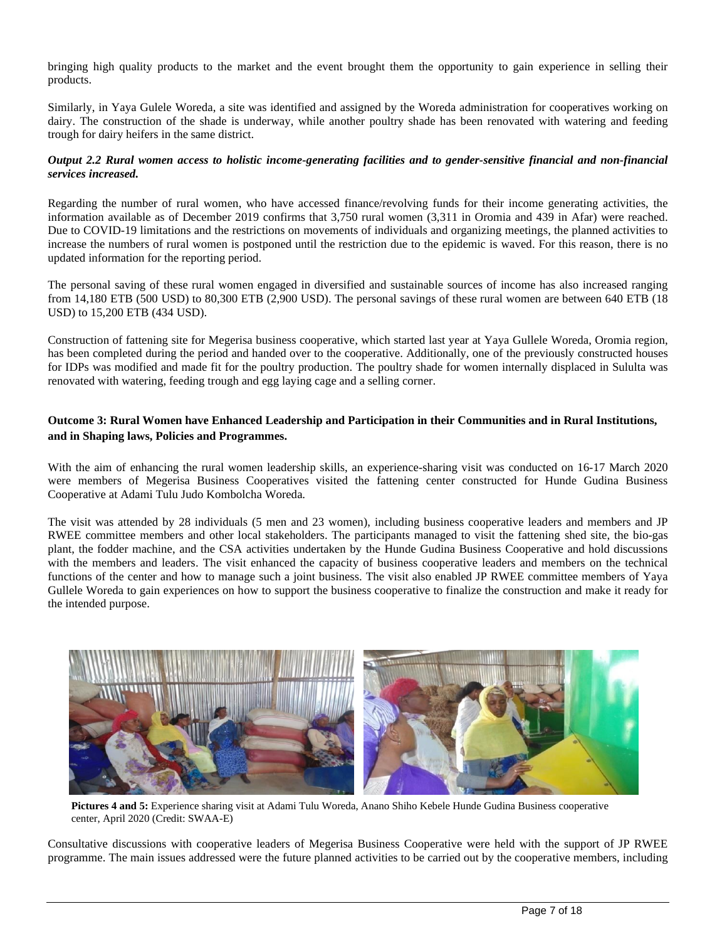bringing high quality products to the market and the event brought them the opportunity to gain experience in selling their products.

Similarly, in Yaya Gulele Woreda, a site was identified and assigned by the Woreda administration for cooperatives working on dairy. The construction of the shade is underway, while another poultry shade has been renovated with watering and feeding trough for dairy heifers in the same district.

# *Output 2.2 Rural women access to holistic income-generating facilities and to gender-sensitive financial and non-financial services increased.*

Regarding the number of rural women, who have accessed finance/revolving funds for their income generating activities, the information available as of December 2019 confirms that 3,750 rural women (3,311 in Oromia and 439 in Afar) were reached. Due to COVID-19 limitations and the restrictions on movements of individuals and organizing meetings, the planned activities to increase the numbers of rural women is postponed until the restriction due to the epidemic is waved. For this reason, there is no updated information for the reporting period.

The personal saving of these rural women engaged in diversified and sustainable sources of income has also increased ranging from 14,180 ETB (500 USD) to 80,300 ETB (2,900 USD). The personal savings of these rural women are between 640 ETB (18 USD) to 15,200 ETB (434 USD).

Construction of fattening site for Megerisa business cooperative, which started last year at Yaya Gullele Woreda, Oromia region, has been completed during the period and handed over to the cooperative. Additionally, one of the previously constructed houses for IDPs was modified and made fit for the poultry production. The poultry shade for women internally displaced in Sululta was renovated with watering, feeding trough and egg laying cage and a selling corner.

# **Outcome 3: Rural Women have Enhanced Leadership and Participation in their Communities and in Rural Institutions, and in Shaping laws, Policies and Programmes.**

With the aim of enhancing the rural women leadership skills, an experience-sharing visit was conducted on 16-17 March 2020 were members of Megerisa Business Cooperatives visited the fattening center constructed for Hunde Gudina Business Cooperative at Adami Tulu Judo Kombolcha Woreda.

The visit was attended by 28 individuals (5 men and 23 women), including business cooperative leaders and members and JP RWEE committee members and other local stakeholders. The participants managed to visit the fattening shed site, the bio-gas plant, the fodder machine, and the CSA activities undertaken by the Hunde Gudina Business Cooperative and hold discussions with the members and leaders. The visit enhanced the capacity of business cooperative leaders and members on the technical functions of the center and how to manage such a joint business. The visit also enabled JP RWEE committee members of Yaya Gullele Woreda to gain experiences on how to support the business cooperative to finalize the construction and make it ready for the intended purpose.



**Pictures 4 and 5:** Experience sharing visit at Adami Tulu Woreda, Anano Shiho Kebele Hunde Gudina Business cooperative center, April 2020 (Credit: SWAA-E)

Consultative discussions with cooperative leaders of Megerisa Business Cooperative were held with the support of JP RWEE programme. The main issues addressed were the future planned activities to be carried out by the cooperative members, including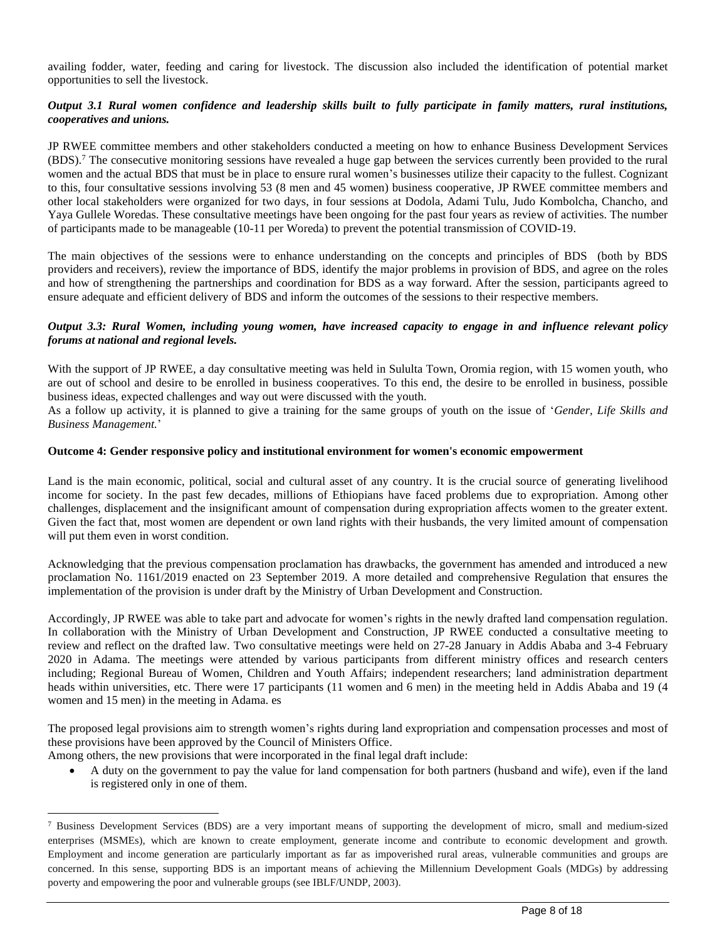availing fodder, water, feeding and caring for livestock. The discussion also included the identification of potential market opportunities to sell the livestock.

## *Output 3.1 Rural women confidence and leadership skills built to fully participate in family matters, rural institutions, cooperatives and unions.*

JP RWEE committee members and other stakeholders conducted a meeting on how to enhance Business Development Services (BDS). <sup>7</sup> The consecutive monitoring sessions have revealed a huge gap between the services currently been provided to the rural women and the actual BDS that must be in place to ensure rural women's businesses utilize their capacity to the fullest. Cognizant to this, four consultative sessions involving 53 (8 men and 45 women) business cooperative, JP RWEE committee members and other local stakeholders were organized for two days, in four sessions at Dodola, Adami Tulu, Judo Kombolcha, Chancho, and Yaya Gullele Woredas. These consultative meetings have been ongoing for the past four years as review of activities. The number of participants made to be manageable (10-11 per Woreda) to prevent the potential transmission of COVID-19.

The main objectives of the sessions were to enhance understanding on the concepts and principles of BDS (both by BDS providers and receivers), review the importance of BDS, identify the major problems in provision of BDS, and agree on the roles and how of strengthening the partnerships and coordination for BDS as a way forward. After the session, participants agreed to ensure adequate and efficient delivery of BDS and inform the outcomes of the sessions to their respective members.

# *Output 3.3: Rural Women, including young women, have increased capacity to engage in and influence relevant policy forums at national and regional levels.*

With the support of JP RWEE, a day consultative meeting was held in Sululta Town, Oromia region, with 15 women youth, who are out of school and desire to be enrolled in business cooperatives. To this end, the desire to be enrolled in business, possible business ideas, expected challenges and way out were discussed with the youth.

As a follow up activity, it is planned to give a training for the same groups of youth on the issue of '*Gender, Life Skills and Business Management.*'

## **Outcome 4: Gender responsive policy and institutional environment for women's economic empowerment**

Land is the main economic, political, social and cultural asset of any country. It is the crucial source of generating livelihood income for society. In the past few decades, millions of Ethiopians have faced problems due to expropriation. Among other challenges, displacement and the insignificant amount of compensation during expropriation affects women to the greater extent. Given the fact that, most women are dependent or own land rights with their husbands, the very limited amount of compensation will put them even in worst condition.

Acknowledging that the previous compensation proclamation has drawbacks, the government has amended and introduced a new proclamation No. 1161/2019 enacted on 23 September 2019. A more detailed and comprehensive Regulation that ensures the implementation of the provision is under draft by the Ministry of Urban Development and Construction.

Accordingly, JP RWEE was able to take part and advocate for women's rights in the newly drafted land compensation regulation. In collaboration with the Ministry of Urban Development and Construction, JP RWEE conducted a consultative meeting to review and reflect on the drafted law. Two consultative meetings were held on 27-28 January in Addis Ababa and 3-4 February 2020 in Adama. The meetings were attended by various participants from different ministry offices and research centers including; Regional Bureau of Women, Children and Youth Affairs; independent researchers; land administration department heads within universities, etc. There were 17 participants (11 women and 6 men) in the meeting held in Addis Ababa and 19 (4 women and 15 men) in the meeting in Adama. es

The proposed legal provisions aim to strength women's rights during land expropriation and compensation processes and most of these provisions have been approved by the Council of Ministers Office.

Among others, the new provisions that were incorporated in the final legal draft include:

• A duty on the government to pay the value for land compensation for both partners (husband and wife), even if the land is registered only in one of them.

 $^7$  Business Development Services (BDS) are a very important means of supporting the development of micro, small and medium-sized enterprises (MSMEs), which are known to create employment, generate income and contribute to economic development and growth. Employment and income generation are particularly important as far as impoverished rural areas, vulnerable communities and groups are concerned. In this sense, supporting BDS is an important means of achieving the Millennium Development Goals (MDGs) by addressing poverty and empowering the poor and vulnerable groups (see IBLF/UNDP, 2003).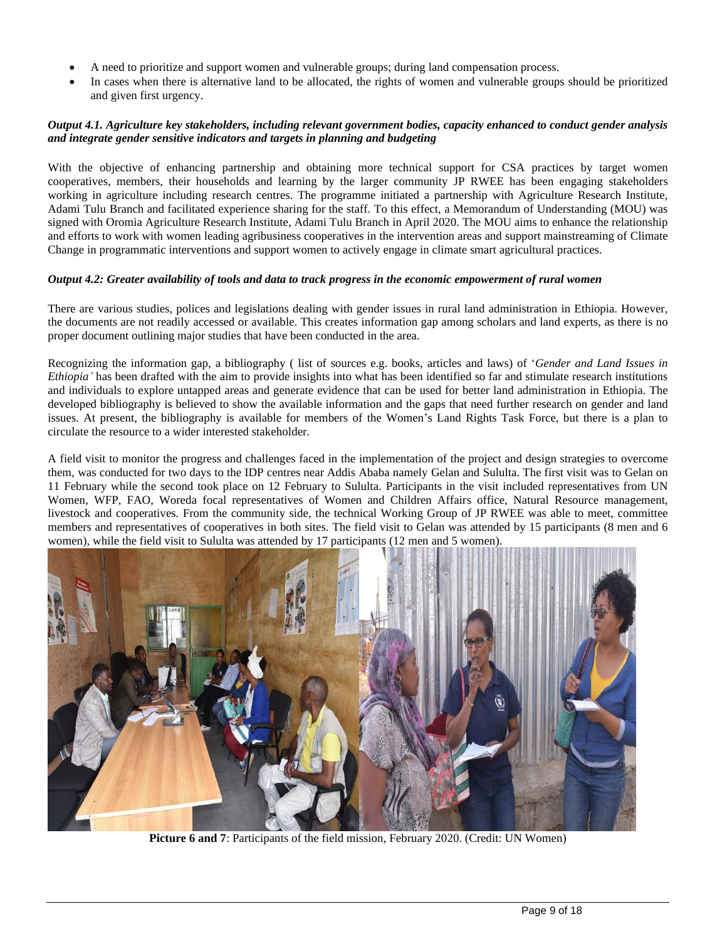- A need to prioritize and support women and vulnerable groups; during land compensation process.
- In cases when there is alternative land to be allocated, the rights of women and vulnerable groups should be prioritized and given first urgency.

# *Output 4.1. Agriculture key stakeholders, including relevant government bodies, capacity enhanced to conduct gender analysis and integrate gender sensitive indicators and targets in planning and budgeting*

With the objective of enhancing partnership and obtaining more technical support for CSA practices by target women cooperatives, members, their households and learning by the larger community JP RWEE has been engaging stakeholders working in agriculture including research centres. The programme initiated a partnership with Agriculture Research Institute, Adami Tulu Branch and facilitated experience sharing for the staff. To this effect, a Memorandum of Understanding (MOU) was signed with Oromia Agriculture Research Institute, Adami Tulu Branch in April 2020. The MOU aims to enhance the relationship and efforts to work with women leading agribusiness cooperatives in the intervention areas and support mainstreaming of Climate Change in programmatic interventions and support women to actively engage in climate smart agricultural practices.

## *Output 4.2: Greater availability of tools and data to track progress in the economic empowerment of rural women*

There are various studies, polices and legislations dealing with gender issues in rural land administration in Ethiopia. However, the documents are not readily accessed or available. This creates information gap among scholars and land experts, as there is no proper document outlining major studies that have been conducted in the area.

Recognizing the information gap, a bibliography ( list of sources e.g. books, articles and laws) of '*Gender and Land Issues in Ethiopia'* has been drafted with the aim to provide insights into what has been identified so far and stimulate research institutions and individuals to explore untapped areas and generate evidence that can be used for better land administration in Ethiopia. The developed bibliography is believed to show the available information and the gaps that need further research on gender and land issues. At present, the bibliography is available for members of the Women's Land Rights Task Force, but there is a plan to circulate the resource to a wider interested stakeholder.

A field visit to monitor the progress and challenges faced in the implementation of the project and design strategies to overcome them, was conducted for two days to the IDP centres near Addis Ababa namely Gelan and Sululta. The first visit was to Gelan on 11 February while the second took place on 12 February to Sululta. Participants in the visit included representatives from UN Women, WFP, FAO, Woreda focal representatives of Women and Children Affairs office, Natural Resource management, livestock and cooperatives. From the community side, the technical Working Group of JP RWEE was able to meet, committee members and representatives of cooperatives in both sites. The field visit to Gelan was attended by 15 participants (8 men and 6 women), while the field visit to Sululta was attended by 17 participants (12 men and 5 women).



**Picture 6 and 7**: Participants of the field mission, February 2020. (Credit: UN Women)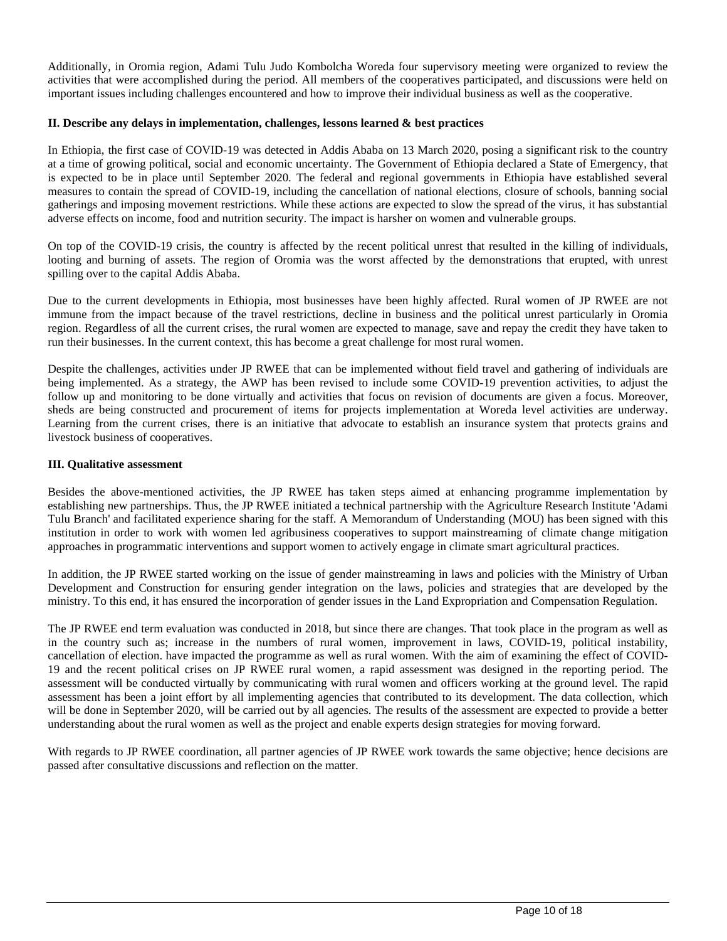Additionally, in Oromia region, Adami Tulu Judo Kombolcha Woreda four supervisory meeting were organized to review the activities that were accomplished during the period. All members of the cooperatives participated, and discussions were held on important issues including challenges encountered and how to improve their individual business as well as the cooperative.

## **II. Describe any delays in implementation, challenges, lessons learned & best practices**

In Ethiopia, the first case of COVID-19 was detected in Addis Ababa on 13 March 2020, posing a significant risk to the country at a time of growing political, social and economic uncertainty. The Government of Ethiopia declared a State of Emergency, that is expected to be in place until September 2020. The federal and regional governments in Ethiopia have established several measures to contain the spread of COVID-19, including the cancellation of national elections, closure of schools, banning social gatherings and imposing movement restrictions. While these actions are expected to slow the spread of the virus, it has substantial adverse effects on income, food and nutrition security. The impact is harsher on women and vulnerable groups.

On top of the COVID-19 crisis, the country is affected by the recent political unrest that resulted in the killing of individuals, looting and burning of assets. The region of Oromia was the worst affected by the demonstrations that erupted, with unrest spilling over to the capital Addis Ababa.

Due to the current developments in Ethiopia, most businesses have been highly affected. Rural women of JP RWEE are not immune from the impact because of the travel restrictions, decline in business and the political unrest particularly in Oromia region. Regardless of all the current crises, the rural women are expected to manage, save and repay the credit they have taken to run their businesses. In the current context, this has become a great challenge for most rural women.

Despite the challenges, activities under JP RWEE that can be implemented without field travel and gathering of individuals are being implemented. As a strategy, the AWP has been revised to include some COVID-19 prevention activities, to adjust the follow up and monitoring to be done virtually and activities that focus on revision of documents are given a focus. Moreover, sheds are being constructed and procurement of items for projects implementation at Woreda level activities are underway. Learning from the current crises, there is an initiative that advocate to establish an insurance system that protects grains and livestock business of cooperatives.

## **III. Qualitative assessment**

Besides the above-mentioned activities, the JP RWEE has taken steps aimed at enhancing programme implementation by establishing new partnerships. Thus, the JP RWEE initiated a technical partnership with the Agriculture Research Institute 'Adami Tulu Branch' and facilitated experience sharing for the staff. A Memorandum of Understanding (MOU) has been signed with this institution in order to work with women led agribusiness cooperatives to support mainstreaming of climate change mitigation approaches in programmatic interventions and support women to actively engage in climate smart agricultural practices.

In addition, the JP RWEE started working on the issue of gender mainstreaming in laws and policies with the Ministry of Urban Development and Construction for ensuring gender integration on the laws, policies and strategies that are developed by the ministry. To this end, it has ensured the incorporation of gender issues in the Land Expropriation and Compensation Regulation.

The JP RWEE end term evaluation was conducted in 2018, but since there are changes. That took place in the program as well as in the country such as; increase in the numbers of rural women, improvement in laws, COVID-19, political instability, cancellation of election. have impacted the programme as well as rural women. With the aim of examining the effect of COVID-19 and the recent political crises on JP RWEE rural women, a rapid assessment was designed in the reporting period. The assessment will be conducted virtually by communicating with rural women and officers working at the ground level. The rapid assessment has been a joint effort by all implementing agencies that contributed to its development. The data collection, which will be done in September 2020, will be carried out by all agencies. The results of the assessment are expected to provide a better understanding about the rural women as well as the project and enable experts design strategies for moving forward.

With regards to JP RWEE coordination, all partner agencies of JP RWEE work towards the same objective; hence decisions are passed after consultative discussions and reflection on the matter.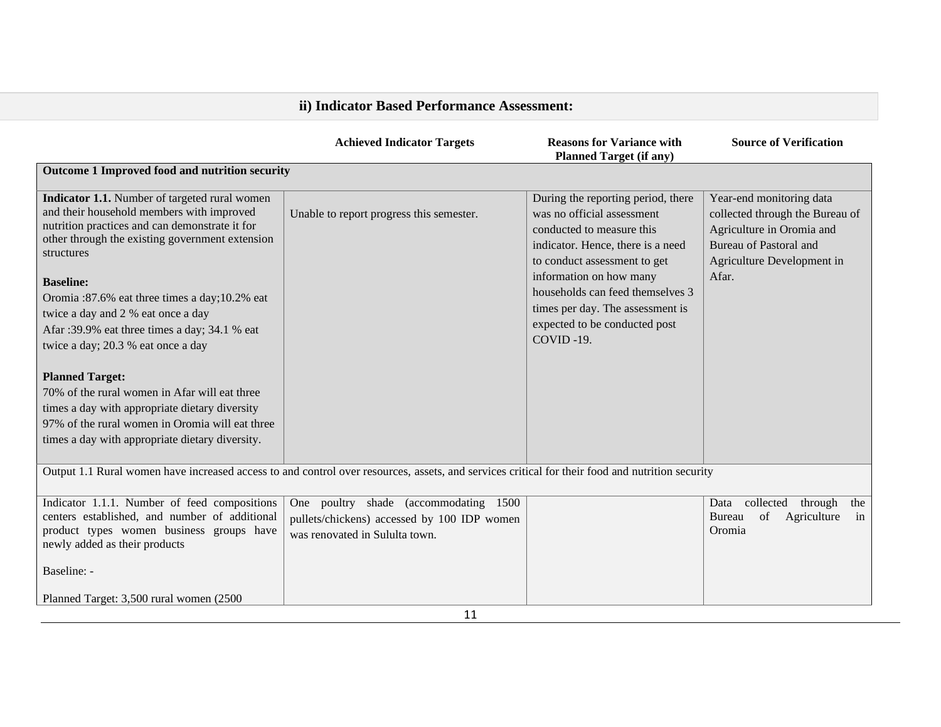| ii) Indicator Based Performance Assessment:                                                                                                                                                                                                                                                                                                                                                                                                                                               |                                                                                                                        |                                                                                                                                                                                                                                                                                                                     |                                                                                                                                                           |  |
|-------------------------------------------------------------------------------------------------------------------------------------------------------------------------------------------------------------------------------------------------------------------------------------------------------------------------------------------------------------------------------------------------------------------------------------------------------------------------------------------|------------------------------------------------------------------------------------------------------------------------|---------------------------------------------------------------------------------------------------------------------------------------------------------------------------------------------------------------------------------------------------------------------------------------------------------------------|-----------------------------------------------------------------------------------------------------------------------------------------------------------|--|
|                                                                                                                                                                                                                                                                                                                                                                                                                                                                                           | <b>Achieved Indicator Targets</b>                                                                                      | <b>Reasons for Variance with</b><br><b>Planned Target (if any)</b>                                                                                                                                                                                                                                                  | <b>Source of Verification</b>                                                                                                                             |  |
| Outcome 1 Improved food and nutrition security                                                                                                                                                                                                                                                                                                                                                                                                                                            |                                                                                                                        |                                                                                                                                                                                                                                                                                                                     |                                                                                                                                                           |  |
| Indicator 1.1. Number of targeted rural women<br>and their household members with improved<br>nutrition practices and can demonstrate it for<br>other through the existing government extension<br>structures<br><b>Baseline:</b><br>Oromia:87.6% eat three times a day;10.2% eat<br>twice a day and 2 % eat once a day<br>Afar: 39.9% eat three times a day; 34.1 % eat<br>twice a day; 20.3 % eat once a day<br><b>Planned Target:</b><br>70% of the rural women in Afar will eat three | Unable to report progress this semester.                                                                               | During the reporting period, there<br>was no official assessment<br>conducted to measure this<br>indicator. Hence, there is a need<br>to conduct assessment to get<br>information on how many<br>households can feed themselves 3<br>times per day. The assessment is<br>expected to be conducted post<br>COVID-19. | Year-end monitoring data<br>collected through the Bureau of<br>Agriculture in Oromia and<br>Bureau of Pastoral and<br>Agriculture Development in<br>Afar. |  |
| times a day with appropriate dietary diversity<br>97% of the rural women in Oromia will eat three<br>times a day with appropriate dietary diversity.                                                                                                                                                                                                                                                                                                                                      |                                                                                                                        |                                                                                                                                                                                                                                                                                                                     |                                                                                                                                                           |  |
| Output 1.1 Rural women have increased access to and control over resources, assets, and services critical for their food and nutrition security                                                                                                                                                                                                                                                                                                                                           |                                                                                                                        |                                                                                                                                                                                                                                                                                                                     |                                                                                                                                                           |  |
| Indicator 1.1.1. Number of feed compositions<br>centers established, and number of additional<br>product types women business groups have<br>newly added as their products                                                                                                                                                                                                                                                                                                                | One poultry shade (accommodating 1500<br>pullets/chickens) accessed by 100 IDP women<br>was renovated in Sululta town. |                                                                                                                                                                                                                                                                                                                     | collected<br>through<br>the<br>Data<br>of<br>Agriculture<br>Bureau<br>in<br>Oromia                                                                        |  |
| Baseline: -                                                                                                                                                                                                                                                                                                                                                                                                                                                                               |                                                                                                                        |                                                                                                                                                                                                                                                                                                                     |                                                                                                                                                           |  |
| Planned Target: 3,500 rural women (2500)                                                                                                                                                                                                                                                                                                                                                                                                                                                  | 11                                                                                                                     |                                                                                                                                                                                                                                                                                                                     |                                                                                                                                                           |  |
|                                                                                                                                                                                                                                                                                                                                                                                                                                                                                           |                                                                                                                        |                                                                                                                                                                                                                                                                                                                     |                                                                                                                                                           |  |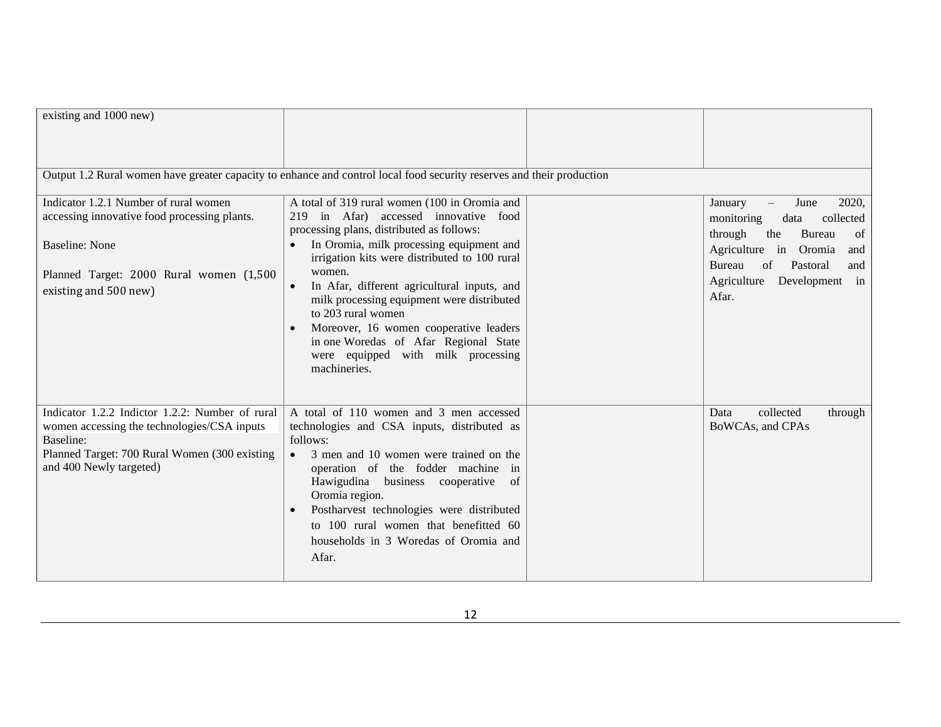| existing and 1000 new)                                                                                                                                                                  |                                                                                                                                                                                                                                                                                                                                                                                                                                                                                                        |                                                                                                                                                                                                         |
|-----------------------------------------------------------------------------------------------------------------------------------------------------------------------------------------|--------------------------------------------------------------------------------------------------------------------------------------------------------------------------------------------------------------------------------------------------------------------------------------------------------------------------------------------------------------------------------------------------------------------------------------------------------------------------------------------------------|---------------------------------------------------------------------------------------------------------------------------------------------------------------------------------------------------------|
|                                                                                                                                                                                         | Output 1.2 Rural women have greater capacity to enhance and control local food security reserves and their production                                                                                                                                                                                                                                                                                                                                                                                  |                                                                                                                                                                                                         |
| Indicator 1.2.1 Number of rural women<br>accessing innovative food processing plants.<br><b>Baseline: None</b><br>Planned Target: 2000 Rural women (1,500<br>existing and 500 new)      | A total of 319 rural women (100 in Oromia and<br>219 in Afar) accessed innovative food<br>processing plans, distributed as follows:<br>In Oromia, milk processing equipment and<br>irrigation kits were distributed to 100 rural<br>women.<br>In Afar, different agricultural inputs, and<br>milk processing equipment were distributed<br>to 203 rural women<br>Moreover, 16 women cooperative leaders<br>in one Woredas of Afar Regional State<br>were equipped with milk processing<br>machineries. | June<br>2020,<br>January<br>monitoring<br>collected<br>data<br>through<br>the<br>Bureau<br>of<br>Agriculture in Oromia<br>and<br>of<br>Pastoral<br>Bureau<br>and<br>Agriculture Development in<br>Afar. |
| Indicator 1.2.2 Indictor 1.2.2: Number of rural<br>women accessing the technologies/CSA inputs<br>Baseline:<br>Planned Target: 700 Rural Women (300 existing<br>and 400 Newly targeted) | A total of 110 women and 3 men accessed<br>technologies and CSA inputs, distributed as<br>follows:<br>• 3 men and 10 women were trained on the<br>operation of the fodder machine in<br>Hawigudina business cooperative of<br>Oromia region.<br>Postharvest technologies were distributed<br>to 100 rural women that benefitted 60<br>households in 3 Woredas of Oromia and<br>Afar.                                                                                                                   | collected<br>Data<br>through<br>BoWCAs, and CPAs                                                                                                                                                        |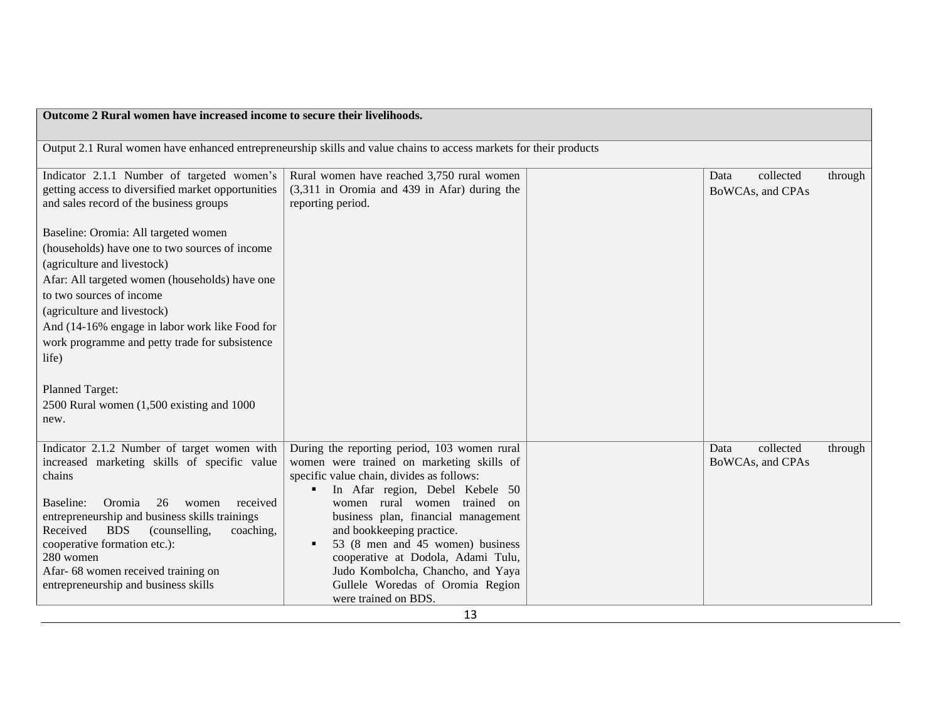| Outcome 2 Rural women have increased income to secure their livelihoods.                                                                                                                                                                                                                                                                                                                                                            |                                                                                                                                                                                                                                                                                                                                                                                                                                                          |  |                                       |         |
|-------------------------------------------------------------------------------------------------------------------------------------------------------------------------------------------------------------------------------------------------------------------------------------------------------------------------------------------------------------------------------------------------------------------------------------|----------------------------------------------------------------------------------------------------------------------------------------------------------------------------------------------------------------------------------------------------------------------------------------------------------------------------------------------------------------------------------------------------------------------------------------------------------|--|---------------------------------------|---------|
|                                                                                                                                                                                                                                                                                                                                                                                                                                     | Output 2.1 Rural women have enhanced entrepreneurship skills and value chains to access markets for their products                                                                                                                                                                                                                                                                                                                                       |  |                                       |         |
| Indicator 2.1.1 Number of targeted women's<br>getting access to diversified market opportunities<br>and sales record of the business groups                                                                                                                                                                                                                                                                                         | Rural women have reached 3,750 rural women<br>(3,311 in Oromia and 439 in Afar) during the<br>reporting period.                                                                                                                                                                                                                                                                                                                                          |  | Data<br>collected<br>BoWCAs, and CPAs | through |
| Baseline: Oromia: All targeted women<br>(households) have one to two sources of income<br>(agriculture and livestock)<br>Afar: All targeted women (households) have one<br>to two sources of income<br>(agriculture and livestock)<br>And (14-16% engage in labor work like Food for<br>work programme and petty trade for subsistence<br>life)<br><b>Planned Target:</b><br>$2500$ Rural women $(1,500)$ existing and 1000<br>new. |                                                                                                                                                                                                                                                                                                                                                                                                                                                          |  |                                       |         |
| Indicator 2.1.2 Number of target women with<br>increased marketing skills of specific value<br>chains<br>26<br>Baseline:<br>Oromia<br>received<br>women<br>entrepreneurship and business skills trainings<br>Received<br><b>BDS</b><br>(counselling,<br>coaching,<br>cooperative formation etc.):<br>280 women<br>Afar-68 women received training on<br>entrepreneurship and business skills                                        | During the reporting period, 103 women rural<br>women were trained on marketing skills of<br>specific value chain, divides as follows:<br>In Afar region, Debel Kebele 50<br>women rural women trained on<br>business plan, financial management<br>and bookkeeping practice.<br>53 (8 men and 45 women) business<br>cooperative at Dodola, Adami Tulu,<br>Judo Kombolcha, Chancho, and Yaya<br>Gullele Woredas of Oromia Region<br>were trained on BDS. |  | Data<br>collected<br>BoWCAs, and CPAs | through |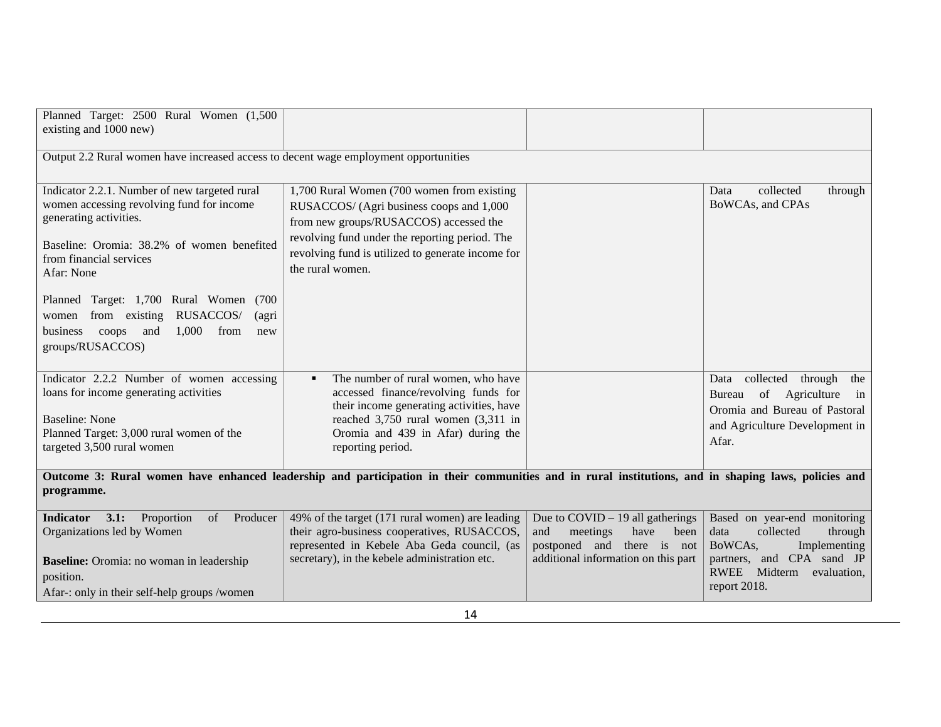| Planned Target: 2500 Rural Women (1,500<br>existing and 1000 new)                                                                                                                                                                                                                                                                                                       |                                                                                                                                                                                                                                                             |                                                                                                                                            |                                                                                                                                                                     |
|-------------------------------------------------------------------------------------------------------------------------------------------------------------------------------------------------------------------------------------------------------------------------------------------------------------------------------------------------------------------------|-------------------------------------------------------------------------------------------------------------------------------------------------------------------------------------------------------------------------------------------------------------|--------------------------------------------------------------------------------------------------------------------------------------------|---------------------------------------------------------------------------------------------------------------------------------------------------------------------|
| Output 2.2 Rural women have increased access to decent wage employment opportunities                                                                                                                                                                                                                                                                                    |                                                                                                                                                                                                                                                             |                                                                                                                                            |                                                                                                                                                                     |
| Indicator 2.2.1. Number of new targeted rural<br>women accessing revolving fund for income<br>generating activities.<br>Baseline: Oromia: 38.2% of women benefited<br>from financial services<br>Afar: None<br>Planned Target: 1,700 Rural Women (700<br>from existing RUSACCOS/<br>(agri<br>women<br>1,000<br>from<br>business<br>coops and<br>new<br>groups/RUSACCOS) | 1,700 Rural Women (700 women from existing<br>RUSACCOS/ (Agri business coops and 1,000<br>from new groups/RUSACCOS) accessed the<br>revolving fund under the reporting period. The<br>revolving fund is utilized to generate income for<br>the rural women. |                                                                                                                                            | collected<br>Data<br>through<br>BoWCAs, and CPAs                                                                                                                    |
| Indicator 2.2.2 Number of women accessing<br>loans for income generating activities<br><b>Baseline: None</b><br>Planned Target: 3,000 rural women of the<br>targeted 3,500 rural women                                                                                                                                                                                  | The number of rural women, who have<br>accessed finance/revolving funds for<br>their income generating activities, have<br>reached 3,750 rural women (3,311 in<br>Oromia and 439 in Afar) during the<br>reporting period.                                   |                                                                                                                                            | collected through<br>the<br>Data<br>of Agriculture<br>in<br>Bureau<br>Oromia and Bureau of Pastoral<br>and Agriculture Development in<br>Afar.                      |
| Outcome 3: Rural women have enhanced leadership and participation in their communities and in rural institutions, and in shaping laws, policies and<br>programme.                                                                                                                                                                                                       |                                                                                                                                                                                                                                                             |                                                                                                                                            |                                                                                                                                                                     |
| Proportion<br><b>Indicator</b><br>3.1:<br>of<br>Producer<br>Organizations led by Women<br>Baseline: Oromia: no woman in leadership<br>position.<br>Afar-: only in their self-help groups /women                                                                                                                                                                         | 49% of the target (171 rural women) are leading<br>their agro-business cooperatives, RUSACCOS,<br>represented in Kebele Aba Geda council, (as<br>secretary), in the kebele administration etc.                                                              | Due to $COVID - 19$ all gatherings<br>and<br>meetings<br>have<br>been<br>postponed and there is not<br>additional information on this part | Based on year-end monitoring<br>collected<br>through<br>data<br>BoWCAs,<br>Implementing<br>partners, and CPA sand JP<br>RWEE Midterm<br>evaluation,<br>report 2018. |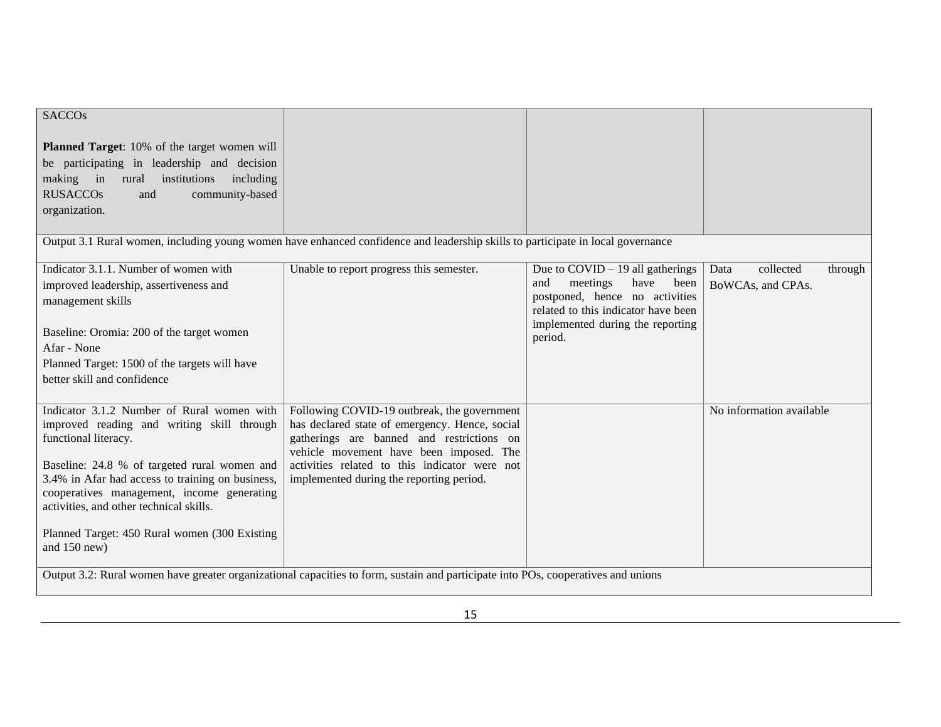| <b>SACCOs</b>                                                                                                                                                                             |                                                                                                                                                                                       |                                                                                                                                                |                                                   |
|-------------------------------------------------------------------------------------------------------------------------------------------------------------------------------------------|---------------------------------------------------------------------------------------------------------------------------------------------------------------------------------------|------------------------------------------------------------------------------------------------------------------------------------------------|---------------------------------------------------|
| Planned Target: 10% of the target women will<br>be participating in leadership and decision<br>making in<br>rural<br>institutions including                                               |                                                                                                                                                                                       |                                                                                                                                                |                                                   |
| <b>RUSACCOs</b><br>community-based<br>and<br>organization.                                                                                                                                |                                                                                                                                                                                       |                                                                                                                                                |                                                   |
|                                                                                                                                                                                           | Output 3.1 Rural women, including young women have enhanced confidence and leadership skills to participate in local governance                                                       |                                                                                                                                                |                                                   |
| Indicator 3.1.1. Number of women with<br>improved leadership, assertiveness and<br>management skills                                                                                      | Unable to report progress this semester.                                                                                                                                              | Due to $COVID - 19$ all gatherings<br>have<br>and<br>meetings<br>been<br>postponed, hence no activities<br>related to this indicator have been | collected<br>Data<br>through<br>BoWCAs, and CPAs. |
| Baseline: Oromia: 200 of the target women<br>Afar - None                                                                                                                                  |                                                                                                                                                                                       | implemented during the reporting<br>period.                                                                                                    |                                                   |
| Planned Target: 1500 of the targets will have                                                                                                                                             |                                                                                                                                                                                       |                                                                                                                                                |                                                   |
| better skill and confidence                                                                                                                                                               |                                                                                                                                                                                       |                                                                                                                                                |                                                   |
| Indicator 3.1.2 Number of Rural women with<br>improved reading and writing skill through<br>functional literacy.                                                                          | Following COVID-19 outbreak, the government<br>has declared state of emergency. Hence, social<br>gatherings are banned and restrictions on<br>vehicle movement have been imposed. The |                                                                                                                                                | No information available                          |
| Baseline: 24.8 % of targeted rural women and<br>3.4% in Afar had access to training on business,<br>cooperatives management, income generating<br>activities, and other technical skills. | activities related to this indicator were not<br>implemented during the reporting period.                                                                                             |                                                                                                                                                |                                                   |
| Planned Target: 450 Rural women (300 Existing<br>and 150 new)                                                                                                                             |                                                                                                                                                                                       |                                                                                                                                                |                                                   |
|                                                                                                                                                                                           | Output 3.2: Rural women have greater organizational capacities to form, sustain and participate into POs, cooperatives and unions                                                     |                                                                                                                                                |                                                   |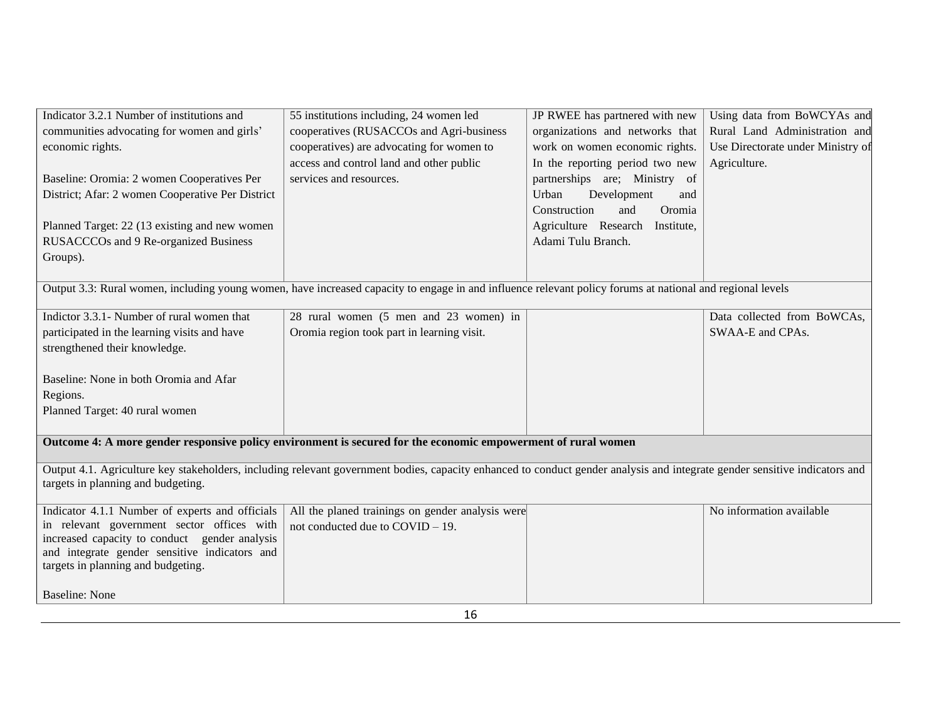| Indicator 3.2.1 Number of institutions and                                          | 55 institutions including, 24 women led                                                                                                                                    | JP RWEE has partnered with new  | Using data from BoWCYAs and       |
|-------------------------------------------------------------------------------------|----------------------------------------------------------------------------------------------------------------------------------------------------------------------------|---------------------------------|-----------------------------------|
| communities advocating for women and girls'                                         | cooperatives (RUSACCOs and Agri-business                                                                                                                                   | organizations and networks that | Rural Land Administration and     |
| economic rights.                                                                    | cooperatives) are advocating for women to                                                                                                                                  | work on women economic rights.  | Use Directorate under Ministry of |
|                                                                                     | access and control land and other public                                                                                                                                   | In the reporting period two new | Agriculture.                      |
| Baseline: Oromia: 2 women Cooperatives Per                                          | services and resources.                                                                                                                                                    | partnerships are; Ministry of   |                                   |
| District; Afar: 2 women Cooperative Per District                                    |                                                                                                                                                                            | Urban<br>Development<br>and     |                                   |
|                                                                                     |                                                                                                                                                                            | Construction<br>and<br>Oromia   |                                   |
| Planned Target: 22 (13 existing and new women                                       |                                                                                                                                                                            | Agriculture Research Institute, |                                   |
| RUSACCCOs and 9 Re-organized Business                                               |                                                                                                                                                                            | Adami Tulu Branch.              |                                   |
| Groups).                                                                            |                                                                                                                                                                            |                                 |                                   |
|                                                                                     |                                                                                                                                                                            |                                 |                                   |
|                                                                                     | Output 3.3: Rural women, including young women, have increased capacity to engage in and influence relevant policy forums at national and regional levels                  |                                 |                                   |
|                                                                                     |                                                                                                                                                                            |                                 |                                   |
| Indictor 3.3.1 - Number of rural women that                                         | 28 rural women (5 men and 23 women) in                                                                                                                                     |                                 | Data collected from BoWCAs,       |
| participated in the learning visits and have                                        | Oromia region took part in learning visit.                                                                                                                                 |                                 | SWAA-E and CPAs.                  |
| strengthened their knowledge.                                                       |                                                                                                                                                                            |                                 |                                   |
|                                                                                     |                                                                                                                                                                            |                                 |                                   |
| Baseline: None in both Oromia and Afar                                              |                                                                                                                                                                            |                                 |                                   |
| Regions.                                                                            |                                                                                                                                                                            |                                 |                                   |
| Planned Target: 40 rural women                                                      |                                                                                                                                                                            |                                 |                                   |
|                                                                                     |                                                                                                                                                                            |                                 |                                   |
|                                                                                     | Outcome 4: A more gender responsive policy environment is secured for the economic empowerment of rural women                                                              |                                 |                                   |
|                                                                                     | Output 4.1. Agriculture key stakeholders, including relevant government bodies, capacity enhanced to conduct gender analysis and integrate gender sensitive indicators and |                                 |                                   |
| targets in planning and budgeting.                                                  |                                                                                                                                                                            |                                 |                                   |
|                                                                                     |                                                                                                                                                                            |                                 |                                   |
| Indicator 4.1.1 Number of experts and officials                                     | All the planed trainings on gender analysis were                                                                                                                           |                                 | No information available          |
| in relevant government sector offices with                                          | not conducted due to COVID - 19.                                                                                                                                           |                                 |                                   |
| increased capacity to conduct gender analysis                                       |                                                                                                                                                                            |                                 |                                   |
| and integrate gender sensitive indicators and<br>targets in planning and budgeting. |                                                                                                                                                                            |                                 |                                   |
|                                                                                     |                                                                                                                                                                            |                                 |                                   |
| <b>Baseline: None</b>                                                               |                                                                                                                                                                            |                                 |                                   |
|                                                                                     |                                                                                                                                                                            |                                 |                                   |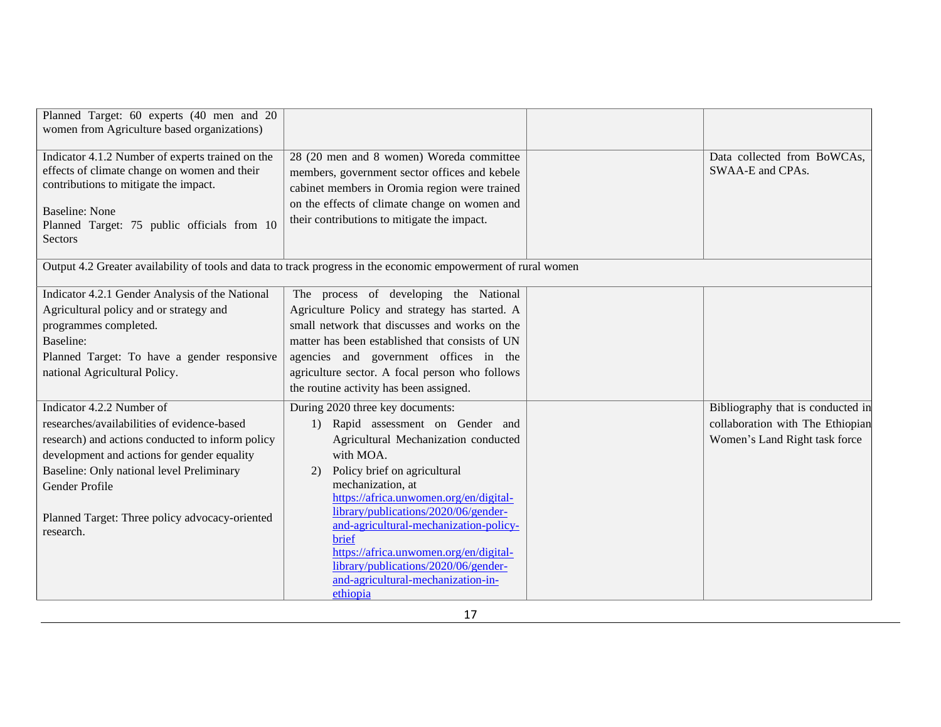| Planned Target: 60 experts (40 men and 20<br>women from Agriculture based organizations)         |                                                                                                                |                                                 |
|--------------------------------------------------------------------------------------------------|----------------------------------------------------------------------------------------------------------------|-------------------------------------------------|
| Indicator 4.1.2 Number of experts trained on the<br>effects of climate change on women and their | 28 (20 men and 8 women) Woreda committee<br>members, government sector offices and kebele                      | Data collected from BoWCAs,<br>SWAA-E and CPAs. |
| contributions to mitigate the impact.                                                            | cabinet members in Oromia region were trained                                                                  |                                                 |
| <b>Baseline: None</b>                                                                            | on the effects of climate change on women and                                                                  |                                                 |
| Planned Target: 75 public officials from 10<br>Sectors                                           | their contributions to mitigate the impact.                                                                    |                                                 |
|                                                                                                  | Output 4.2 Greater availability of tools and data to track progress in the economic empowerment of rural women |                                                 |
| Indicator 4.2.1 Gender Analysis of the National                                                  | The process of developing the National                                                                         |                                                 |
| Agricultural policy and or strategy and                                                          | Agriculture Policy and strategy has started. A                                                                 |                                                 |
| programmes completed.                                                                            | small network that discusses and works on the                                                                  |                                                 |
| Baseline:                                                                                        | matter has been established that consists of UN                                                                |                                                 |
| Planned Target: To have a gender responsive                                                      | agencies and government offices in the                                                                         |                                                 |
| national Agricultural Policy.                                                                    | agriculture sector. A focal person who follows                                                                 |                                                 |
|                                                                                                  | the routine activity has been assigned.                                                                        |                                                 |
| Indicator 4.2.2 Number of                                                                        | During 2020 three key documents:                                                                               | Bibliography that is conducted in               |
| researches/availabilities of evidence-based                                                      | 1) Rapid assessment on Gender and                                                                              | collaboration with The Ethiopian                |
| research) and actions conducted to inform policy                                                 | Agricultural Mechanization conducted                                                                           | Women's Land Right task force                   |
| development and actions for gender equality                                                      | with MOA.                                                                                                      |                                                 |
| Baseline: Only national level Preliminary                                                        | Policy brief on agricultural<br>2)                                                                             |                                                 |
| Gender Profile                                                                                   | mechanization, at                                                                                              |                                                 |
|                                                                                                  | https://africa.unwomen.org/en/digital-<br>library/publications/2020/06/gender-                                 |                                                 |
| Planned Target: Three policy advocacy-oriented                                                   | and-agricultural-mechanization-policy-                                                                         |                                                 |
| research.                                                                                        | brief                                                                                                          |                                                 |
|                                                                                                  | https://africa.unwomen.org/en/digital-                                                                         |                                                 |
|                                                                                                  | library/publications/2020/06/gender-                                                                           |                                                 |
|                                                                                                  | and-agricultural-mechanization-in-                                                                             |                                                 |
|                                                                                                  | ethiopia                                                                                                       |                                                 |